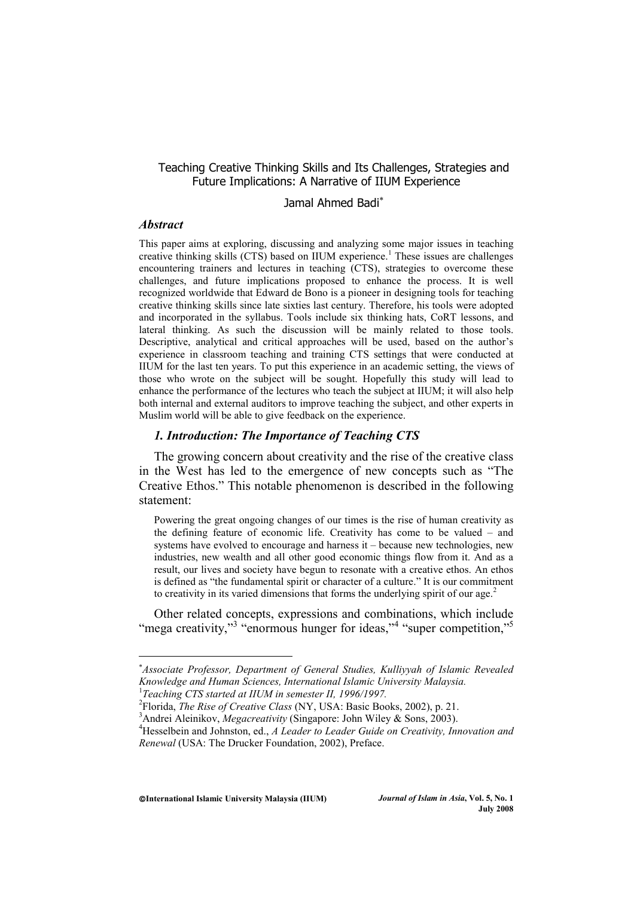## Teaching Creative Thinking Skills and Its Challenges, Strategies and Future Implications: A Narrative of IIUM Experience

# Jamal Ahmed Badi<sup>\*</sup>

#### *Abstract*

This paper aims at exploring, discussing and analyzing some major issues in teaching creative thinking skills (CTS) based on IIUM experience.<sup>1</sup> These issues are challenges encountering trainers and lectures in teaching (CTS), strategies to overcome these challenges, and future implications proposed to enhance the process. It is well recognized worldwide that Edward de Bono is a pioneer in designing tools for teaching creative thinking skills since late sixties last century. Therefore, his tools were adopted and incorporated in the syllabus. Tools include six thinking hats, CoRT lessons, and lateral thinking. As such the discussion will be mainly related to those tools. Descriptive, analytical and critical approaches will be used, based on the author's experience in classroom teaching and training CTS settings that were conducted at IIUM for the last ten years. To put this experience in an academic setting, the views of those who wrote on the subject will be sought. Hopefully this study will lead to enhance the performance of the lectures who teach the subject at IIUM; it will also help both internal and external auditors to improve teaching the subject, and other experts in Muslim world will be able to give feedback on the experience.

## *1. Introduction: The Importance of Teaching CTS*

The growing concern about creativity and the rise of the creative class in the West has led to the emergence of new concepts such as "The Creative Ethos." This notable phenomenon is described in the following statement:

Powering the great ongoing changes of our times is the rise of human creativity as the defining feature of economic life. Creativity has come to be valued – and systems have evolved to encourage and harness it – because new technologies, new industries, new wealth and all other good economic things flow from it. And as a result, our lives and society have begun to resonate with a creative ethos. An ethos is defined as "the fundamental spirit or character of a culture." It is our commitment to creativity in its varied dimensions that forms the underlying spirit of our age.<sup>2</sup>

Other related concepts, expressions and combinations, which include "mega creativity,"<sup>3</sup> "enormous hunger for ideas,"<sup>4</sup> "super competition."<sup>5</sup>

**International Islamic University Malaysia (IIUM)** *Journal of Islam in Asia***, Vol. 5, No. 1** 

<sup>-</sup> *Associate Professor, Department of General Studies, Kulliyyah of Islamic Revealed Knowledge and Human Sciences, International Islamic University Malaysia.* 

<sup>&</sup>lt;sup>1</sup>Teaching CTS started at IIUM in semester II, 1996/1997.

<sup>&</sup>lt;sup>2</sup> Florida, *The Rise of Creative Class* (NY, USA: Basic Books, 2002), p. 21.<br><sup>3</sup> Andrei Aleinikou, *Magaguatiwin* (Singapora: John Wilou & Sons, 2003).

<sup>&</sup>lt;sup>3</sup> Andrei Aleinikov, *Megacreativity* (Singapore: John Wiley & Sons, 2003).

Hesselbein and Johnston, ed., *A Leader to Leader Guide on Creativity, Innovation and Renewal* (USA: The Drucker Foundation, 2002), Preface.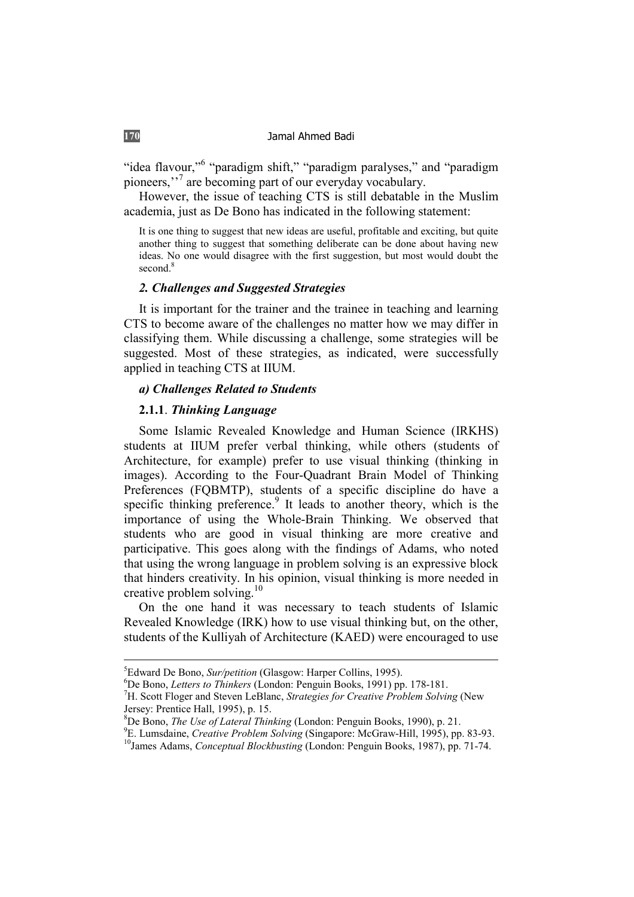"idea flavour,"<sup>6</sup> "paradigm shift," "paradigm paralyses," and "paradigm pioneers,''<sup>7</sup> are becoming part of our everyday vocabulary.

However, the issue of teaching CTS is still debatable in the Muslim academia, just as De Bono has indicated in the following statement:

It is one thing to suggest that new ideas are useful, profitable and exciting, but quite another thing to suggest that something deliberate can be done about having new ideas. No one would disagree with the first suggestion, but most would doubt the second.<sup>8</sup>

## *2. Challenges and Suggested Strategies*

It is important for the trainer and the trainee in teaching and learning CTS to become aware of the challenges no matter how we may differ in classifying them. While discussing a challenge, some strategies will be suggested. Most of these strategies, as indicated, were successfully applied in teaching CTS at IIUM.

#### *a) Challenges Related to Students*

## **2.1.1**. *Thinking Language*

Some Islamic Revealed Knowledge and Human Science (IRKHS) students at IIUM prefer verbal thinking, while others (students of Architecture, for example) prefer to use visual thinking (thinking in images). According to the Four-Quadrant Brain Model of Thinking Preferences (FQBMTP), students of a specific discipline do have a specific thinking preference.<sup>9</sup> It leads to another theory, which is the importance of using the Whole-Brain Thinking. We observed that students who are good in visual thinking are more creative and participative. This goes along with the findings of Adams, who noted that using the wrong language in problem solving is an expressive block that hinders creativity. In his opinion, visual thinking is more needed in creative problem solving.<sup>10</sup>

On the one hand it was necessary to teach students of Islamic Revealed Knowledge (IRK) how to use visual thinking but, on the other, students of the Kulliyah of Architecture (KAED) were encouraged to use

<sup>&</sup>lt;sup>5</sup> Edward De Bono, *Sur/petition* (Glasgow: Harper Collins, 1995).<br><sup>6</sup> De Bone, *Latters to Thinkars* (London: Bonguin Books, 1991) pp.

De Bono, *Letters to Thinkers* (London: Penguin Books, 1991) pp. 178-181. 7

H. Scott Floger and Steven LeBlanc, *Strategies for Creative Problem Solving* (New Jersey: Prentice Hall, 1995), p. 15.

<sup>&</sup>lt;sup>8</sup>De Bono, *The Use of Lateral Thinking* (London: Penguin Books, 1990), p. 21.<br><sup>9</sup>E Jumedaine, *Cuasting Buchlam Solving* (Singgrappy McCrew Hill, 1995), pp.

<sup>&</sup>lt;sup>9</sup>E. Lumsdaine, *Creative Problem Solving* (Singapore: McGraw-Hill, 1995), pp. 83-93. <sup>10</sup>James Adams, *Conceptual Blockbusting* (London: Penguin Books, 1987), pp. 71-74.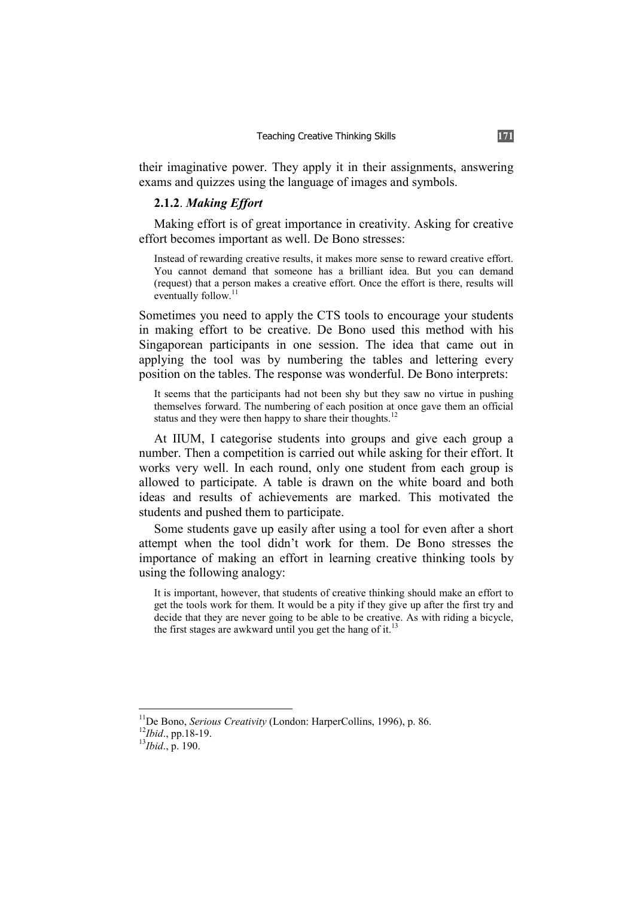their imaginative power. They apply it in their assignments, answering exams and quizzes using the language of images and symbols.

## **2.1.2**. *Making Effort*

Making effort is of great importance in creativity. Asking for creative effort becomes important as well. De Bono stresses:

Instead of rewarding creative results, it makes more sense to reward creative effort. You cannot demand that someone has a brilliant idea. But you can demand (request) that a person makes a creative effort. Once the effort is there, results will eventually follow.<sup>11</sup>

Sometimes you need to apply the CTS tools to encourage your students in making effort to be creative. De Bono used this method with his Singaporean participants in one session. The idea that came out in applying the tool was by numbering the tables and lettering every position on the tables. The response was wonderful. De Bono interprets:

It seems that the participants had not been shy but they saw no virtue in pushing themselves forward. The numbering of each position at once gave them an official status and they were then happy to share their thoughts.<sup>12</sup>

At IIUM, I categorise students into groups and give each group a number. Then a competition is carried out while asking for their effort. It works very well. In each round, only one student from each group is allowed to participate. A table is drawn on the white board and both ideas and results of achievements are marked. This motivated the students and pushed them to participate.

Some students gave up easily after using a tool for even after a short attempt when the tool didn't work for them. De Bono stresses the importance of making an effort in learning creative thinking tools by using the following analogy:

It is important, however, that students of creative thinking should make an effort to get the tools work for them. It would be a pity if they give up after the first try and decide that they are never going to be able to be creative. As with riding a bicycle, the first stages are awkward until you get the hang of it.<sup>1</sup>

<sup>&</sup>lt;sup>11</sup>De Bono, *Serious Creativity* (London: HarperCollins, 1996), p. 86.<br><sup>12</sup>*Ibid.*, pp.18-19.<br><sup>13</sup>*Ibid.*, p. 190.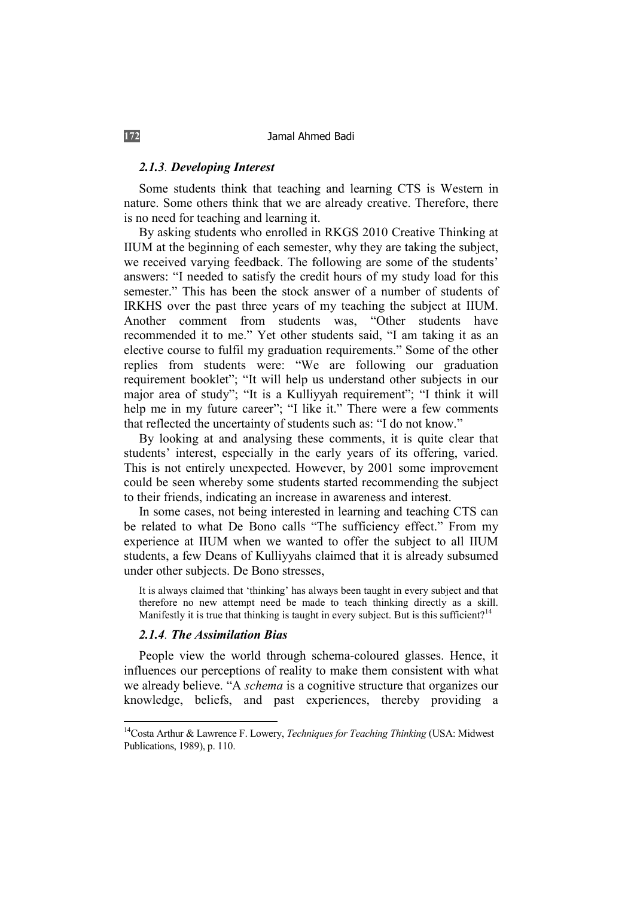#### *2.1.3. Developing Interest*

Some students think that teaching and learning CTS is Western in nature. Some others think that we are already creative. Therefore, there is no need for teaching and learning it.

By asking students who enrolled in RKGS 2010 Creative Thinking at IIUM at the beginning of each semester, why they are taking the subject, we received varying feedback. The following are some of the students' answers: "I needed to satisfy the credit hours of my study load for this semester." This has been the stock answer of a number of students of IRKHS over the past three years of my teaching the subject at IIUM. Another comment from students was, "Other students have recommended it to me." Yet other students said, "I am taking it as an elective course to fulfil my graduation requirements." Some of the other replies from students were: "We are following our graduation requirement booklet"; "It will help us understand other subjects in our major area of study"; "It is a Kulliyyah requirement"; "I think it will help me in my future career"; "I like it." There were a few comments that reflected the uncertainty of students such as: "I do not know."

By looking at and analysing these comments, it is quite clear that students' interest, especially in the early years of its offering, varied. This is not entirely unexpected. However, by 2001 some improvement could be seen whereby some students started recommending the subject to their friends, indicating an increase in awareness and interest.

In some cases, not being interested in learning and teaching CTS can be related to what De Bono calls "The sufficiency effect." From my experience at IIUM when we wanted to offer the subject to all IIUM students, a few Deans of Kulliyyahs claimed that it is already subsumed under other subjects. De Bono stresses,

It is always claimed that 'thinking' has always been taught in every subject and that therefore no new attempt need be made to teach thinking directly as a skill. Manifestly it is true that thinking is taught in every subject. But is this sufficient?<sup>14</sup>

#### *2.1.4. The Assimilation Bias*

People view the world through schema-coloured glasses. Hence, it influences our perceptions of reality to make them consistent with what we already believe. "A *schema* is a cognitive structure that organizes our knowledge, beliefs, and past experiences, thereby providing a

<sup>14</sup>Costa Arthur & Lawrence F. Lowery, *Techniques for Teaching Thinking* (USA: Midwest Publications, 1989), p. 110.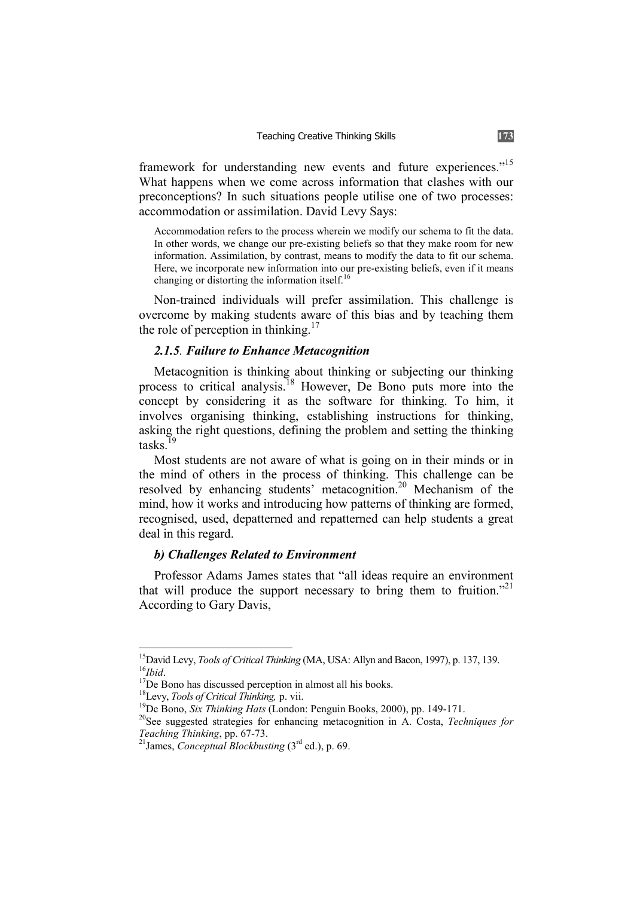framework for understanding new events and future experiences."<sup>15</sup> What happens when we come across information that clashes with our preconceptions? In such situations people utilise one of two processes: accommodation or assimilation. David Levy Says:

Accommodation refers to the process wherein we modify our schema to fit the data. In other words, we change our pre-existing beliefs so that they make room for new information. Assimilation, by contrast, means to modify the data to fit our schema. Here, we incorporate new information into our pre-existing beliefs, even if it means changing or distorting the information itself.<sup>16</sup>

Non-trained individuals will prefer assimilation. This challenge is overcome by making students aware of this bias and by teaching them the role of perception in thinking.<sup>17</sup>

## *2.1.5. Failure to Enhance Metacognition*

Metacognition is thinking about thinking or subjecting our thinking process to critical analysis.18 However, De Bono puts more into the concept by considering it as the software for thinking. To him, it involves organising thinking, establishing instructions for thinking, asking the right questions, defining the problem and setting the thinking tasks<sup>19</sup>

Most students are not aware of what is going on in their minds or in the mind of others in the process of thinking. This challenge can be resolved by enhancing students' metacognition.20 Mechanism of the mind, how it works and introducing how patterns of thinking are formed, recognised, used, depatterned and repatterned can help students a great deal in this regard.

## *b) Challenges Related to Environment*

Professor Adams James states that "all ideas require an environment that will produce the support necessary to bring them to fruition.<sup>"21</sup> According to Gary Davis,

<sup>&</sup>lt;sup>15</sup>David Levy, *Tools of Critical Thinking* (MA, USA: Allyn and Bacon, 1997), p. 137, 139.<br><sup>17</sup>De Bono has discussed perception in almost all his books.<br><sup>18</sup>Levy, *Tools of Critical Thinking*, p. vii.

<sup>&</sup>lt;sup>19</sup>De Bono, *Six Thinking Hats* (London: Penguin Books, 2000), pp. 149-171.<br><sup>20</sup>See suggested strategies for enhancing metacognition in A. Costa, *Techniques for* 

*Teaching Thinking*, pp. 67-73. 21James, *Conceptual Blockbusting* (3rd ed.), p. 69.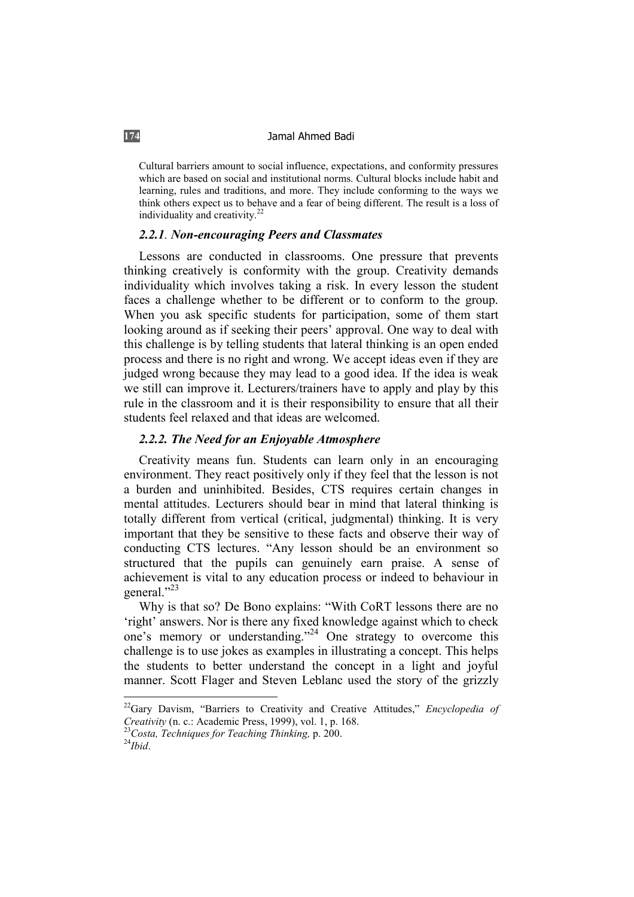Cultural barriers amount to social influence, expectations, and conformity pressures which are based on social and institutional norms. Cultural blocks include habit and learning, rules and traditions, and more. They include conforming to the ways we think others expect us to behave and a fear of being different. The result is a loss of individuality and creativity.<sup>22</sup>

## *2.2.1. Non-encouraging Peers and Classmates*

Lessons are conducted in classrooms. One pressure that prevents thinking creatively is conformity with the group. Creativity demands individuality which involves taking a risk. In every lesson the student faces a challenge whether to be different or to conform to the group. When you ask specific students for participation, some of them start looking around as if seeking their peers' approval. One way to deal with this challenge is by telling students that lateral thinking is an open ended process and there is no right and wrong. We accept ideas even if they are judged wrong because they may lead to a good idea. If the idea is weak we still can improve it. Lecturers/trainers have to apply and play by this rule in the classroom and it is their responsibility to ensure that all their students feel relaxed and that ideas are welcomed.

### *2.2.2. The Need for an Enjoyable Atmosphere*

Creativity means fun. Students can learn only in an encouraging environment. They react positively only if they feel that the lesson is not a burden and uninhibited. Besides, CTS requires certain changes in mental attitudes. Lecturers should bear in mind that lateral thinking is totally different from vertical (critical, judgmental) thinking. It is very important that they be sensitive to these facts and observe their way of conducting CTS lectures. "Any lesson should be an environment so structured that the pupils can genuinely earn praise. A sense of achievement is vital to any education process or indeed to behaviour in general."<sup>23</sup>

Why is that so? De Bono explains: "With CoRT lessons there are no 'right' answers. Nor is there any fixed knowledge against which to check one's memory or understanding."24 One strategy to overcome this challenge is to use jokes as examples in illustrating a concept. This helps the students to better understand the concept in a light and joyful manner. Scott Flager and Steven Leblanc used the story of the grizzly

<sup>22</sup>Gary Davism, "Barriers to Creativity and Creative Attitudes," *Encyclopedia of* 

*Creativity* (n. c.: Academic Press, 1999), vol. 1, p. 168. 23*Costa, Techniques for Teaching Thinking,* p. 200. 24*Ibid*.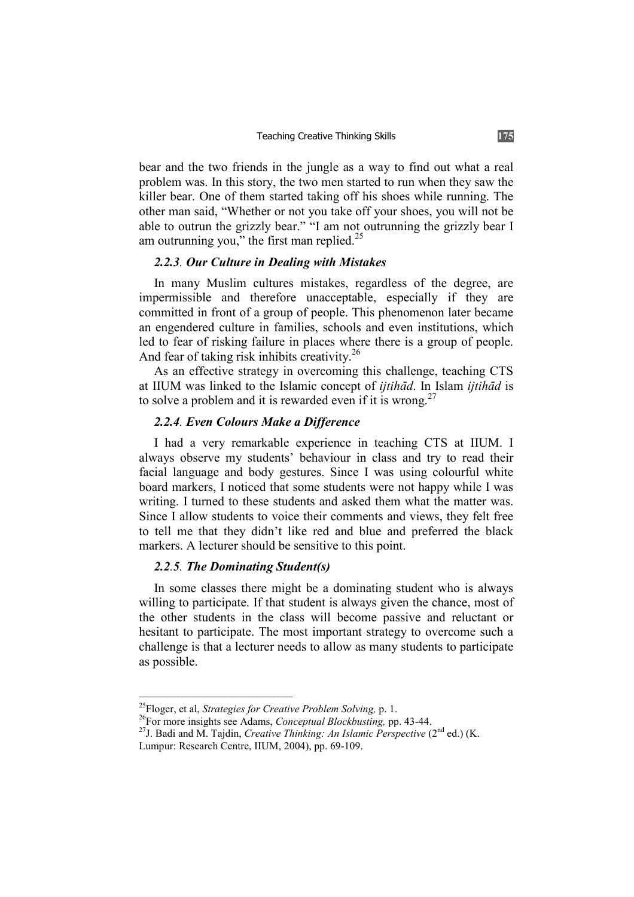bear and the two friends in the jungle as a way to find out what a real problem was. In this story, the two men started to run when they saw the killer bear. One of them started taking off his shoes while running. The other man said, "Whether or not you take off your shoes, you will not be able to outrun the grizzly bear." "I am not outrunning the grizzly bear I am outrunning you," the first man replied.<sup>25</sup>

## *2.2.3. Our Culture in Dealing with Mistakes*

In many Muslim cultures mistakes, regardless of the degree, are impermissible and therefore unacceptable, especially if they are committed in front of a group of people. This phenomenon later became an engendered culture in families, schools and even institutions, which led to fear of risking failure in places where there is a group of people. And fear of taking risk inhibits creativity.<sup>26</sup>

As an effective strategy in overcoming this challenge, teaching CTS at IIUM was linked to the Islamic concept of *ijtihÉd*. In Islam *ijtihÉd* is to solve a problem and it is rewarded even if it is wrong.<sup>27</sup>

## *2.2.4. Even Colours Make a Difference*

I had a very remarkable experience in teaching CTS at IIUM. I always observe my students' behaviour in class and try to read their facial language and body gestures. Since I was using colourful white board markers, I noticed that some students were not happy while I was writing. I turned to these students and asked them what the matter was. Since I allow students to voice their comments and views, they felt free to tell me that they didn't like red and blue and preferred the black markers. A lecturer should be sensitive to this point.

## *2.2.5. The Dominating Student(s)*

In some classes there might be a dominating student who is always willing to participate. If that student is always given the chance, most of the other students in the class will become passive and reluctant or hesitant to participate. The most important strategy to overcome such a challenge is that a lecturer needs to allow as many students to participate as possible.

<sup>&</sup>lt;sup>25</sup>Floger, et al, *Strategies for Creative Problem Solving*, p. 1.<br><sup>26</sup>For more insights see Adams, *Conceptual Blockbusting*, pp. 43-44.<br><sup>27</sup>J. Badi and M. Tajdin, *Creative Thinking: An Islamic Perspective* (2<sup>nd</sup> ed.)

Lumpur: Research Centre, IIUM, 2004), pp. 69-109.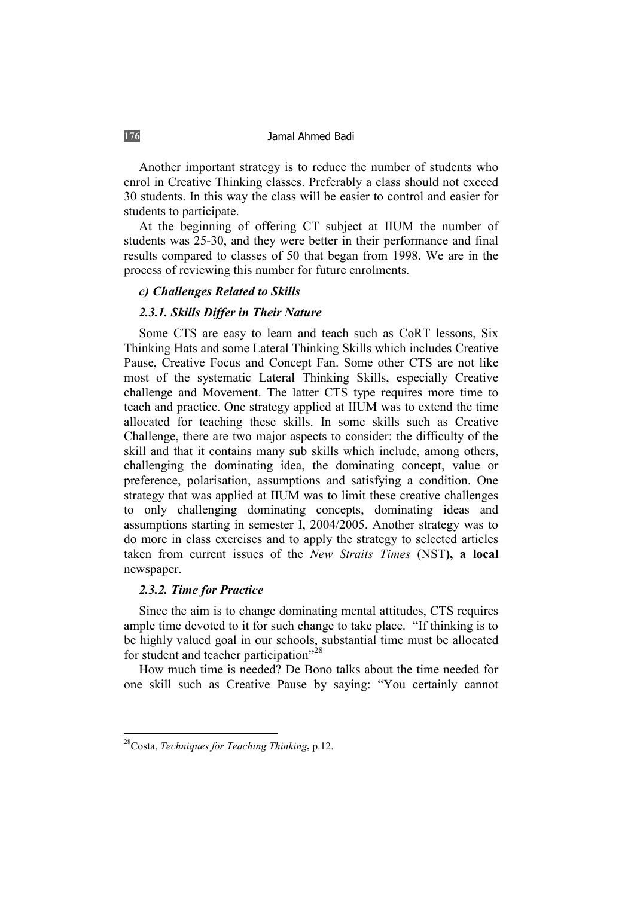Another important strategy is to reduce the number of students who enrol in Creative Thinking classes. Preferably a class should not exceed 30 students. In this way the class will be easier to control and easier for students to participate.

At the beginning of offering CT subject at IIUM the number of students was 25-30, and they were better in their performance and final results compared to classes of 50 that began from 1998. We are in the process of reviewing this number for future enrolments.

#### *c) Challenges Related to Skills*

## *2.3.1. Skills Differ in Their Nature*

Some CTS are easy to learn and teach such as CoRT lessons, Six Thinking Hats and some Lateral Thinking Skills which includes Creative Pause, Creative Focus and Concept Fan. Some other CTS are not like most of the systematic Lateral Thinking Skills, especially Creative challenge and Movement. The latter CTS type requires more time to teach and practice. One strategy applied at IIUM was to extend the time allocated for teaching these skills. In some skills such as Creative Challenge, there are two major aspects to consider: the difficulty of the skill and that it contains many sub skills which include, among others, challenging the dominating idea, the dominating concept, value or preference, polarisation, assumptions and satisfying a condition. One strategy that was applied at IIUM was to limit these creative challenges to only challenging dominating concepts, dominating ideas and assumptions starting in semester I, 2004/2005. Another strategy was to do more in class exercises and to apply the strategy to selected articles taken from current issues of the *New Straits Times* (NST**), a local**  newspaper.

## *2.3.2. Time for Practice*

Since the aim is to change dominating mental attitudes, CTS requires ample time devoted to it for such change to take place. "If thinking is to be highly valued goal in our schools, substantial time must be allocated for student and teacher participation<sup>"28</sup>

How much time is needed? De Bono talks about the time needed for one skill such as Creative Pause by saying: "You certainly cannot

<sup>28</sup>Costa, *Techniques for Teaching Thinking***,** p.12.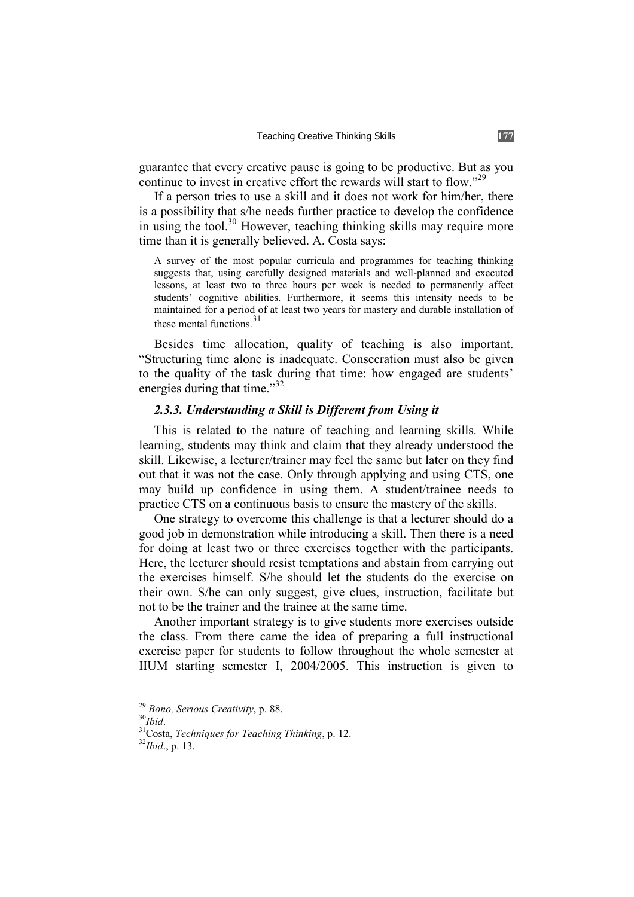guarantee that every creative pause is going to be productive. But as you continue to invest in creative effort the rewards will start to flow."29

If a person tries to use a skill and it does not work for him/her, there is a possibility that s/he needs further practice to develop the confidence in using the tool.<sup>30</sup> However, teaching thinking skills may require more time than it is generally believed. A. Costa says:

A survey of the most popular curricula and programmes for teaching thinking suggests that, using carefully designed materials and well-planned and executed lessons, at least two to three hours per week is needed to permanently affect students' cognitive abilities. Furthermore, it seems this intensity needs to be maintained for a period of at least two years for mastery and durable installation of these mental functions  $31$ 

Besides time allocation, quality of teaching is also important. "Structuring time alone is inadequate. Consecration must also be given to the quality of the task during that time: how engaged are students' energies during that time."<sup>32</sup>

## *2.3.3. Understanding a Skill is Different from Using it*

This is related to the nature of teaching and learning skills. While learning, students may think and claim that they already understood the skill. Likewise, a lecturer/trainer may feel the same but later on they find out that it was not the case. Only through applying and using CTS, one may build up confidence in using them. A student/trainee needs to practice CTS on a continuous basis to ensure the mastery of the skills.

One strategy to overcome this challenge is that a lecturer should do a good job in demonstration while introducing a skill. Then there is a need for doing at least two or three exercises together with the participants. Here, the lecturer should resist temptations and abstain from carrying out the exercises himself. S/he should let the students do the exercise on their own. S/he can only suggest, give clues, instruction, facilitate but not to be the trainer and the trainee at the same time.

Another important strategy is to give students more exercises outside the class. From there came the idea of preparing a full instructional exercise paper for students to follow throughout the whole semester at IIUM starting semester I, 2004/2005. This instruction is given to

<sup>&</sup>lt;sup>29</sup> Bono, Serious Creativity, p. 88.<br><sup>30</sup>*Ibid.* 31Costa, *Techniques for Teaching Thinking*, p. 12. <sup>32</sup>*Ibid.*, p. 13.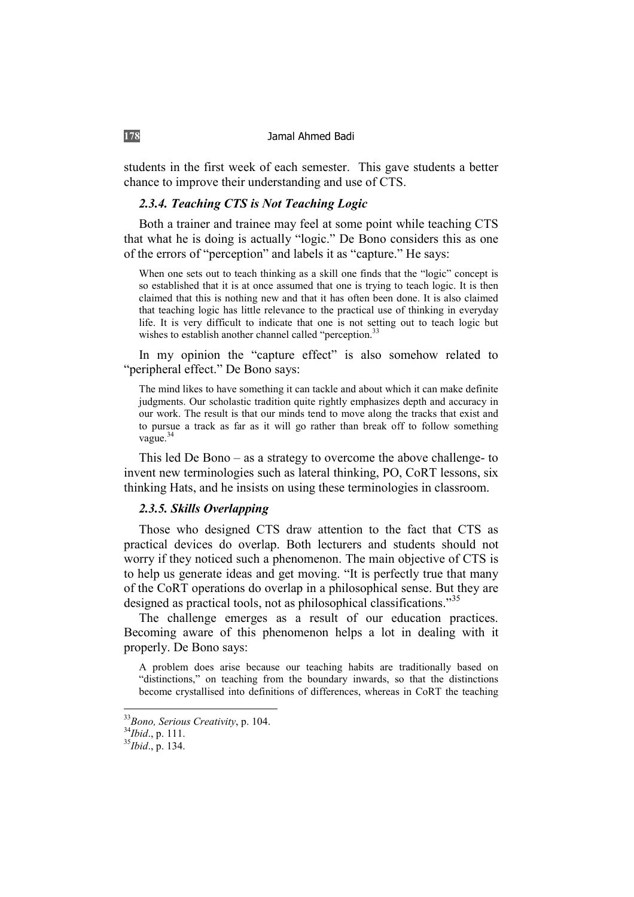students in the first week of each semester. This gave students a better chance to improve their understanding and use of CTS.

## *2.3.4. Teaching CTS is Not Teaching Logic*

Both a trainer and trainee may feel at some point while teaching CTS that what he is doing is actually "logic." De Bono considers this as one of the errors of "perception" and labels it as "capture." He says:

When one sets out to teach thinking as a skill one finds that the "logic" concept is so established that it is at once assumed that one is trying to teach logic. It is then claimed that this is nothing new and that it has often been done. It is also claimed that teaching logic has little relevance to the practical use of thinking in everyday life. It is very difficult to indicate that one is not setting out to teach logic but wishes to establish another channel called "perception.<sup>33</sup>

In my opinion the "capture effect" is also somehow related to "peripheral effect." De Bono says:

The mind likes to have something it can tackle and about which it can make definite judgments. Our scholastic tradition quite rightly emphasizes depth and accuracy in our work. The result is that our minds tend to move along the tracks that exist and to pursue a track as far as it will go rather than break off to follow something vague.<sup>34</sup>

This led De Bono – as a strategy to overcome the above challenge- to invent new terminologies such as lateral thinking, PO, CoRT lessons, six thinking Hats, and he insists on using these terminologies in classroom.

### *2.3.5. Skills Overlapping*

Those who designed CTS draw attention to the fact that CTS as practical devices do overlap. Both lecturers and students should not worry if they noticed such a phenomenon. The main objective of CTS is to help us generate ideas and get moving. "It is perfectly true that many of the CoRT operations do overlap in a philosophical sense. But they are designed as practical tools, not as philosophical classifications."<sup>35</sup>

The challenge emerges as a result of our education practices. Becoming aware of this phenomenon helps a lot in dealing with it properly. De Bono says:

A problem does arise because our teaching habits are traditionally based on "distinctions," on teaching from the boundary inwards, so that the distinctions become crystallised into definitions of differences, whereas in CoRT the teaching

<sup>33</sup>*Bono, Serious Creativity*, p. 104. 34*Ibid*., p. 111. 35*Ibid*., p. 134.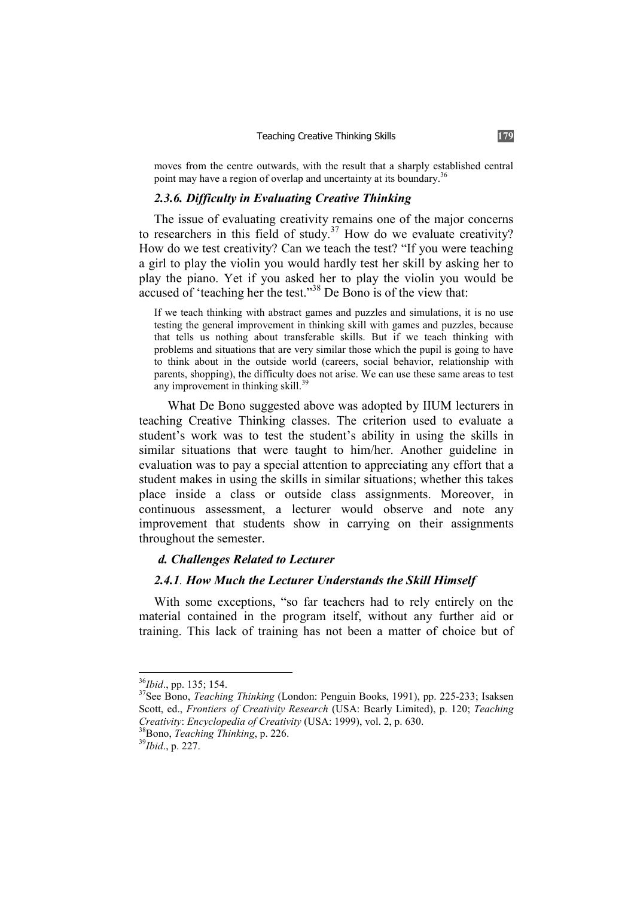moves from the centre outwards, with the result that a sharply established central point may have a region of overlap and uncertainty at its boundary.<sup>36</sup>

## *2.3.6. Difficulty in Evaluating Creative Thinking*

The issue of evaluating creativity remains one of the major concerns to researchers in this field of study. $37$  How do we evaluate creativity? How do we test creativity? Can we teach the test? "If you were teaching a girl to play the violin you would hardly test her skill by asking her to play the piano. Yet if you asked her to play the violin you would be accused of 'teaching her the test."38 De Bono is of the view that:

If we teach thinking with abstract games and puzzles and simulations, it is no use testing the general improvement in thinking skill with games and puzzles, because that tells us nothing about transferable skills. But if we teach thinking with problems and situations that are very similar those which the pupil is going to have to think about in the outside world (careers, social behavior, relationship with parents, shopping), the difficulty does not arise. We can use these same areas to test any improvement in thinking skill.<sup>39</sup>

What De Bono suggested above was adopted by IIUM lecturers in teaching Creative Thinking classes. The criterion used to evaluate a student's work was to test the student's ability in using the skills in similar situations that were taught to him/her. Another guideline in evaluation was to pay a special attention to appreciating any effort that a student makes in using the skills in similar situations; whether this takes place inside a class or outside class assignments. Moreover, in continuous assessment, a lecturer would observe and note any improvement that students show in carrying on their assignments throughout the semester.

### *d. Challenges Related to Lecturer*

## *2.4.1. How Much the Lecturer Understands the Skill Himself*

With some exceptions, "so far teachers had to rely entirely on the material contained in the program itself, without any further aid or training. This lack of training has not been a matter of choice but of

<sup>&</sup>lt;sup>36</sup>*Ibid.*, pp. 135; 154.<br><sup>37</sup>See Bono, *Teaching Thinking* (London: Penguin Books, 1991), pp. 225-233; Isaksen Scott, ed., *Frontiers of Creativity Research* (USA: Bearly Limited), p. 120; *Teaching Creativity: Encyclopedia of Creativity* (USA: 1999), vol. 2, p. 630.<br><sup>38</sup>Bono, *Teaching Thinking*, p. 226.<br><sup>39</sup>*Ibid.*, p. 227.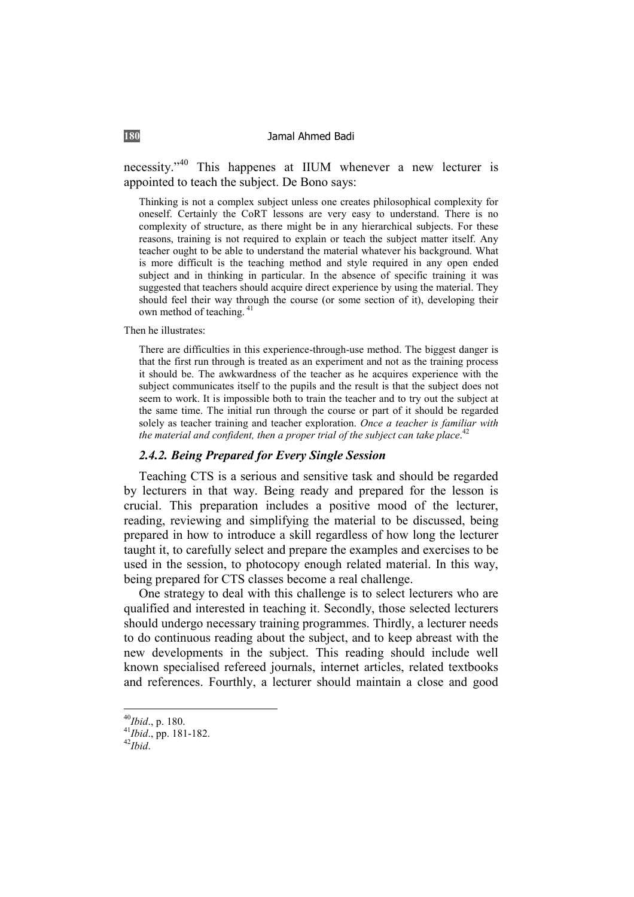necessity."40 This happenes at IIUM whenever a new lecturer is appointed to teach the subject. De Bono says:

Thinking is not a complex subject unless one creates philosophical complexity for oneself. Certainly the CoRT lessons are very easy to understand. There is no complexity of structure, as there might be in any hierarchical subjects. For these reasons, training is not required to explain or teach the subject matter itself. Any teacher ought to be able to understand the material whatever his background. What is more difficult is the teaching method and style required in any open ended subject and in thinking in particular. In the absence of specific training it was suggested that teachers should acquire direct experience by using the material. They should feel their way through the course (or some section of it), developing their own method of teaching.<sup>4</sup>

Then he illustrates:

There are difficulties in this experience-through-use method. The biggest danger is that the first run through is treated as an experiment and not as the training process it should be. The awkwardness of the teacher as he acquires experience with the subject communicates itself to the pupils and the result is that the subject does not seem to work. It is impossible both to train the teacher and to try out the subject at the same time. The initial run through the course or part of it should be regarded solely as teacher training and teacher exploration. *Once a teacher is familiar with*  the material and confident, then a proper trial of the subject can take place.<sup>42</sup>

## *2.4.2. Being Prepared for Every Single Session*

Teaching CTS is a serious and sensitive task and should be regarded by lecturers in that way. Being ready and prepared for the lesson is crucial. This preparation includes a positive mood of the lecturer, reading, reviewing and simplifying the material to be discussed, being prepared in how to introduce a skill regardless of how long the lecturer taught it, to carefully select and prepare the examples and exercises to be used in the session, to photocopy enough related material. In this way, being prepared for CTS classes become a real challenge.

One strategy to deal with this challenge is to select lecturers who are qualified and interested in teaching it. Secondly, those selected lecturers should undergo necessary training programmes. Thirdly, a lecturer needs to do continuous reading about the subject, and to keep abreast with the new developments in the subject. This reading should include well known specialised refereed journals, internet articles, related textbooks and references. Fourthly, a lecturer should maintain a close and good

<sup>40</sup>*Ibid*., p. 180. 41*Ibid*., pp. 181-182. 42*Ibid*.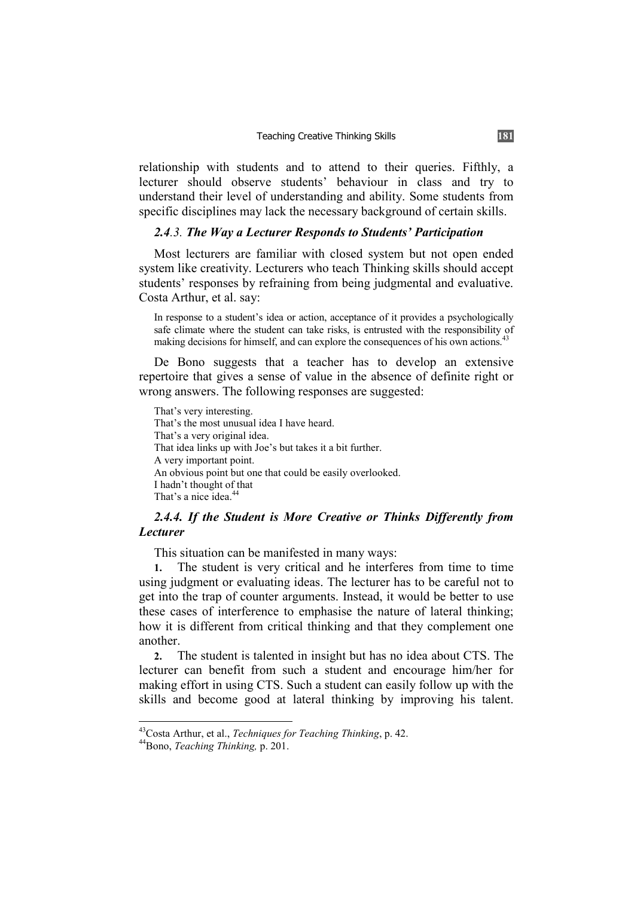relationship with students and to attend to their queries. Fifthly, a lecturer should observe students' behaviour in class and try to understand their level of understanding and ability. Some students from specific disciplines may lack the necessary background of certain skills.

## *2.4.3. The Way a Lecturer Responds to Students' Participation*

Most lecturers are familiar with closed system but not open ended system like creativity. Lecturers who teach Thinking skills should accept students' responses by refraining from being judgmental and evaluative. Costa Arthur, et al. say:

In response to a student's idea or action, acceptance of it provides a psychologically safe climate where the student can take risks, is entrusted with the responsibility of making decisions for himself, and can explore the consequences of his own actions.<sup>43</sup>

De Bono suggests that a teacher has to develop an extensive repertoire that gives a sense of value in the absence of definite right or wrong answers. The following responses are suggested:

That's very interesting. That's the most unusual idea I have heard. That's a very original idea. That idea links up with Joe's but takes it a bit further. A very important point. An obvious point but one that could be easily overlooked. I hadn't thought of that That's a nice idea.<sup>44</sup>

## *2.4.4. If the Student is More Creative or Thinks Differently from Lecturer*

This situation can be manifested in many ways:

**1.** The student is very critical and he interferes from time to time using judgment or evaluating ideas. The lecturer has to be careful not to get into the trap of counter arguments. Instead, it would be better to use these cases of interference to emphasise the nature of lateral thinking; how it is different from critical thinking and that they complement one another.

**2.** The student is talented in insight but has no idea about CTS. The lecturer can benefit from such a student and encourage him/her for making effort in using CTS. Such a student can easily follow up with the skills and become good at lateral thinking by improving his talent.

<sup>43</sup>Costa Arthur, et al., *Techniques for Teaching Thinking*, p. 42. 44Bono, *Teaching Thinking,* p. 201.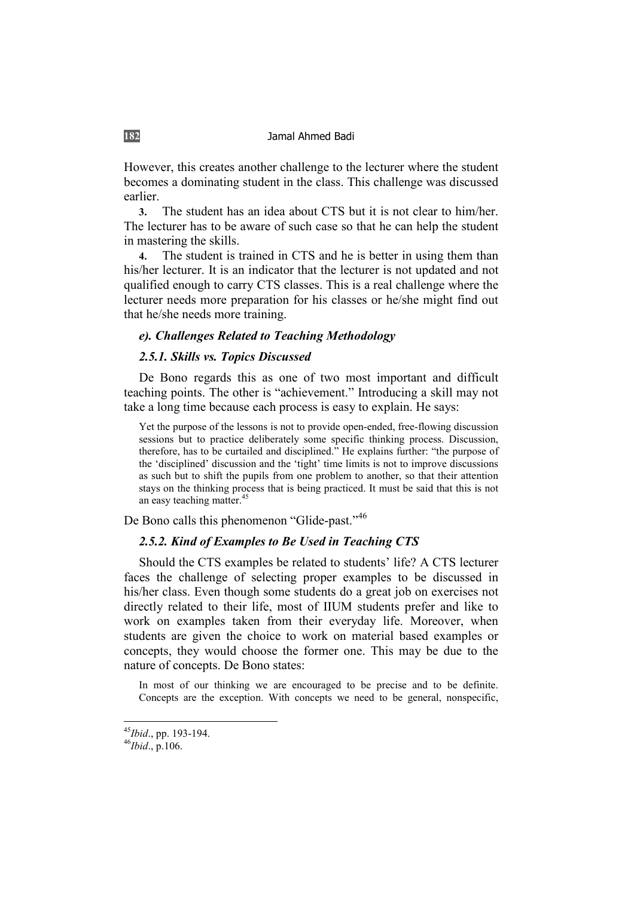However, this creates another challenge to the lecturer where the student becomes a dominating student in the class. This challenge was discussed earlier.

**3.** The student has an idea about CTS but it is not clear to him/her. The lecturer has to be aware of such case so that he can help the student in mastering the skills.

**4.** The student is trained in CTS and he is better in using them than his/her lecturer. It is an indicator that the lecturer is not updated and not qualified enough to carry CTS classes. This is a real challenge where the lecturer needs more preparation for his classes or he/she might find out that he/she needs more training.

## *e). Challenges Related to Teaching Methodology*

## *2.5.1. Skills vs. Topics Discussed*

De Bono regards this as one of two most important and difficult teaching points. The other is "achievement." Introducing a skill may not take a long time because each process is easy to explain. He says:

Yet the purpose of the lessons is not to provide open-ended, free-flowing discussion sessions but to practice deliberately some specific thinking process. Discussion, therefore, has to be curtailed and disciplined." He explains further: "the purpose of the 'disciplined' discussion and the 'tight' time limits is not to improve discussions as such but to shift the pupils from one problem to another, so that their attention stays on the thinking process that is being practiced. It must be said that this is not an easy teaching matter.<sup>45</sup>

De Bono calls this phenomenon "Glide-past."<sup>46</sup>

### *2.5.2. Kind of Examples to Be Used in Teaching CTS*

Should the CTS examples be related to students' life? A CTS lecturer faces the challenge of selecting proper examples to be discussed in his/her class. Even though some students do a great job on exercises not directly related to their life, most of IIUM students prefer and like to work on examples taken from their everyday life. Moreover, when students are given the choice to work on material based examples or concepts, they would choose the former one. This may be due to the nature of concepts. De Bono states:

In most of our thinking we are encouraged to be precise and to be definite. Concepts are the exception. With concepts we need to be general, nonspecific,

<sup>45</sup>*Ibid*., pp. 193-194. 46*Ibid*., p.106.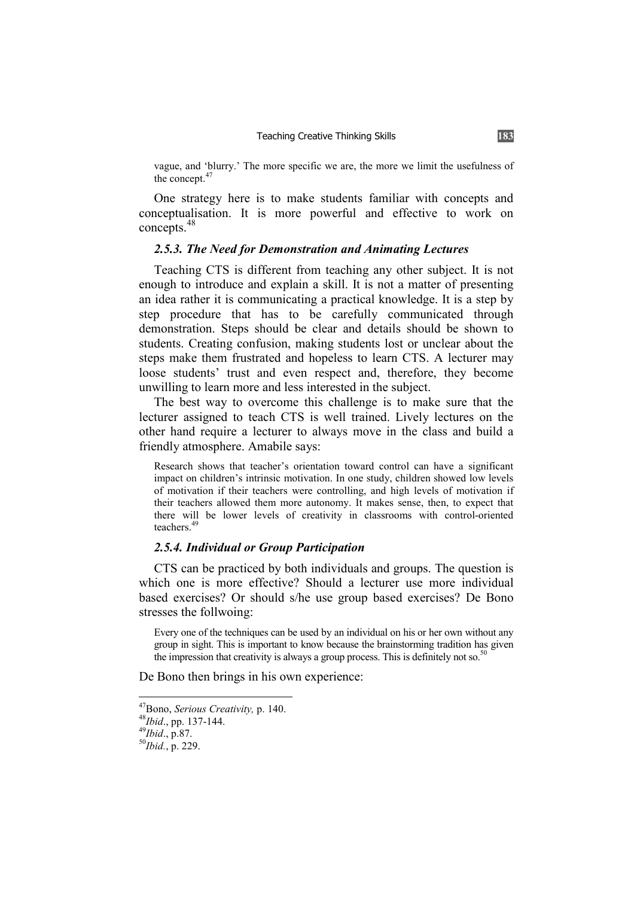vague, and 'blurry.' The more specific we are, the more we limit the usefulness of the concept.<sup>47</sup>

One strategy here is to make students familiar with concepts and conceptualisation. It is more powerful and effective to work on concepts.<sup>48</sup>

## *2.5.3. The Need for Demonstration and Animating Lectures*

Teaching CTS is different from teaching any other subject. It is not enough to introduce and explain a skill. It is not a matter of presenting an idea rather it is communicating a practical knowledge. It is a step by step procedure that has to be carefully communicated through demonstration. Steps should be clear and details should be shown to students. Creating confusion, making students lost or unclear about the steps make them frustrated and hopeless to learn CTS. A lecturer may loose students' trust and even respect and, therefore, they become unwilling to learn more and less interested in the subject.

The best way to overcome this challenge is to make sure that the lecturer assigned to teach CTS is well trained. Lively lectures on the other hand require a lecturer to always move in the class and build a friendly atmosphere. Amabile says:

Research shows that teacher's orientation toward control can have a significant impact on children's intrinsic motivation. In one study, children showed low levels of motivation if their teachers were controlling, and high levels of motivation if their teachers allowed them more autonomy. It makes sense, then, to expect that there will be lower levels of creativity in classrooms with control-oriented teachers.<sup>49</sup>

### *2.5.4. Individual or Group Participation*

CTS can be practiced by both individuals and groups. The question is which one is more effective? Should a lecturer use more individual based exercises? Or should s/he use group based exercises? De Bono stresses the follwoing:

Every one of the techniques can be used by an individual on his or her own without any group in sight. This is important to know because the brainstorming tradition has given the impression that creativity is always a group process. This is definitely not so.<sup>50</sup>

De Bono then brings in his own experience:

<sup>47</sup>Bono, *Serious Creativity,* p. 140. 48*Ibid*., pp. 137-144. 49*Ibid*., p.87. 50*Ibid.*, p. 229.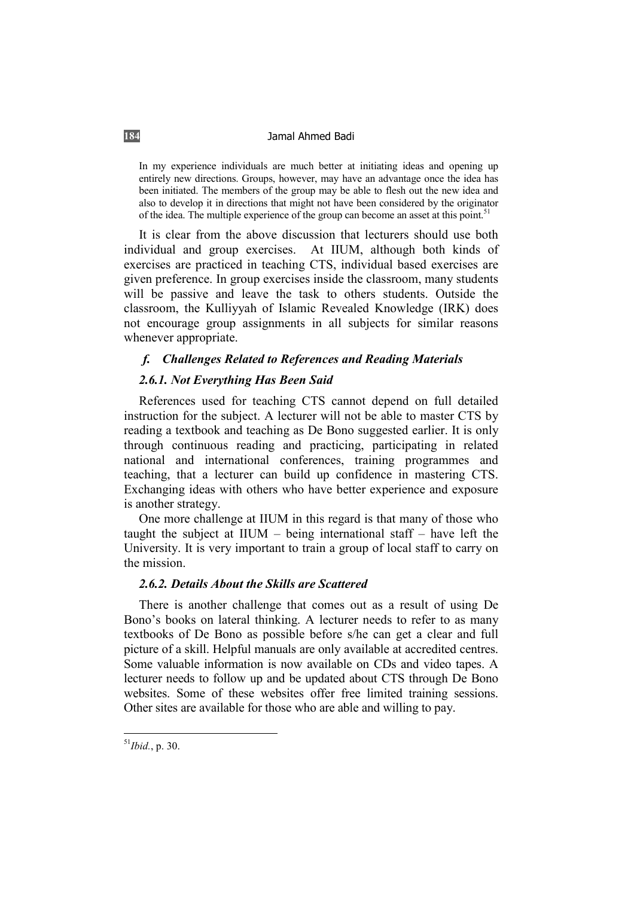In my experience individuals are much better at initiating ideas and opening up entirely new directions. Groups, however, may have an advantage once the idea has been initiated. The members of the group may be able to flesh out the new idea and also to develop it in directions that might not have been considered by the originator of the idea. The multiple experience of the group can become an asset at this point.<sup>51</sup>

It is clear from the above discussion that lecturers should use both individual and group exercises. At IIUM, although both kinds of exercises are practiced in teaching CTS, individual based exercises are given preference. In group exercises inside the classroom, many students will be passive and leave the task to others students. Outside the classroom, the Kulliyyah of Islamic Revealed Knowledge (IRK) does not encourage group assignments in all subjects for similar reasons whenever appropriate.

## *f. Challenges Related to References and Reading Materials*

### *2.6.1. Not Everything Has Been Said*

References used for teaching CTS cannot depend on full detailed instruction for the subject. A lecturer will not be able to master CTS by reading a textbook and teaching as De Bono suggested earlier. It is only through continuous reading and practicing, participating in related national and international conferences, training programmes and teaching, that a lecturer can build up confidence in mastering CTS. Exchanging ideas with others who have better experience and exposure is another strategy.

One more challenge at IIUM in this regard is that many of those who taught the subject at  $I U M - being international staff - have left the$ University. It is very important to train a group of local staff to carry on the mission.

## *2.6.2. Details About the Skills are Scattered*

There is another challenge that comes out as a result of using De Bono's books on lateral thinking. A lecturer needs to refer to as many textbooks of De Bono as possible before s/he can get a clear and full picture of a skill. Helpful manuals are only available at accredited centres. Some valuable information is now available on CDs and video tapes. A lecturer needs to follow up and be updated about CTS through De Bono websites. Some of these websites offer free limited training sessions. Other sites are available for those who are able and willing to pay.

<sup>51</sup>*Ibid.*, p. 30.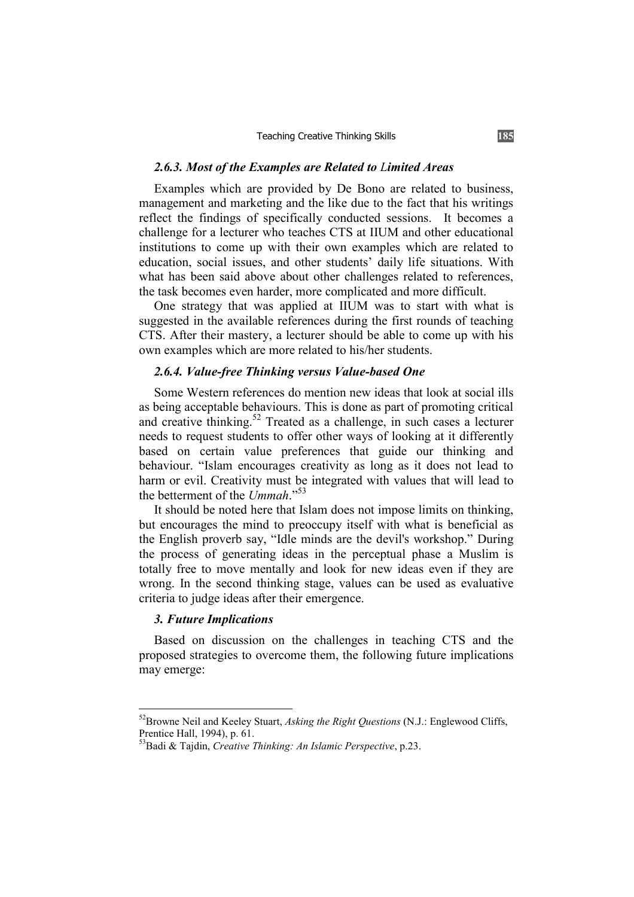#### *2.6.3. Most of the Examples are Related to Limited Areas*

Examples which are provided by De Bono are related to business, management and marketing and the like due to the fact that his writings reflect the findings of specifically conducted sessions. It becomes a challenge for a lecturer who teaches CTS at IIUM and other educational institutions to come up with their own examples which are related to education, social issues, and other students' daily life situations. With what has been said above about other challenges related to references, the task becomes even harder, more complicated and more difficult.

One strategy that was applied at IIUM was to start with what is suggested in the available references during the first rounds of teaching CTS. After their mastery, a lecturer should be able to come up with his own examples which are more related to his/her students.

## *2.6.4. Value-free Thinking versus Value-based One*

Some Western references do mention new ideas that look at social ills as being acceptable behaviours. This is done as part of promoting critical and creative thinking.<sup>52</sup> Treated as a challenge, in such cases a lecturer needs to request students to offer other ways of looking at it differently based on certain value preferences that guide our thinking and behaviour. "Islam encourages creativity as long as it does not lead to harm or evil. Creativity must be integrated with values that will lead to the betterment of the *Ummah*."<sup>53</sup>

It should be noted here that Islam does not impose limits on thinking, but encourages the mind to preoccupy itself with what is beneficial as the English proverb say, "Idle minds are the devil's workshop." During the process of generating ideas in the perceptual phase a Muslim is totally free to move mentally and look for new ideas even if they are wrong. In the second thinking stage, values can be used as evaluative criteria to judge ideas after their emergence.

### *3. Future Implications*

Based on discussion on the challenges in teaching CTS and the proposed strategies to overcome them, the following future implications may emerge:

<sup>52</sup>Browne Neil and Keeley Stuart, *Asking the Right Questions* (N.J.: Englewood Cliffs, Prentice Hall, 1994), p. 61.

<sup>53</sup>Badi & Tajdin, *Creative Thinking: An Islamic Perspective*, p.23.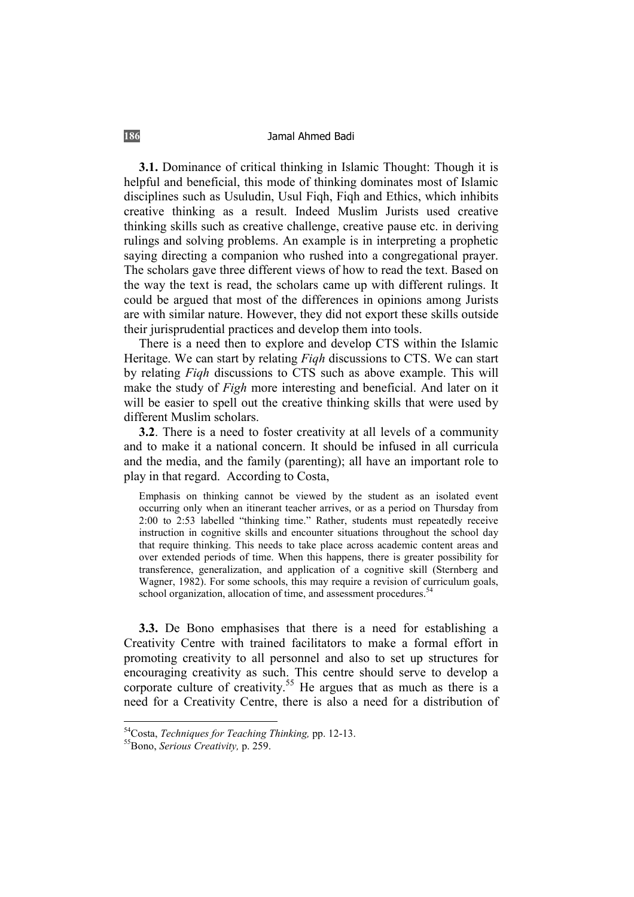**3.1.** Dominance of critical thinking in Islamic Thought: Though it is helpful and beneficial, this mode of thinking dominates most of Islamic disciplines such as Usuludin, Usul Fiqh, Fiqh and Ethics, which inhibits creative thinking as a result. Indeed Muslim Jurists used creative thinking skills such as creative challenge, creative pause etc. in deriving rulings and solving problems. An example is in interpreting a prophetic saying directing a companion who rushed into a congregational prayer. The scholars gave three different views of how to read the text. Based on the way the text is read, the scholars came up with different rulings. It could be argued that most of the differences in opinions among Jurists are with similar nature. However, they did not export these skills outside their jurisprudential practices and develop them into tools.

There is a need then to explore and develop CTS within the Islamic Heritage. We can start by relating *Fiqh* discussions to CTS. We can start by relating *Fiqh* discussions to CTS such as above example. This will make the study of *Figh* more interesting and beneficial. And later on it will be easier to spell out the creative thinking skills that were used by different Muslim scholars.

**3.2**. There is a need to foster creativity at all levels of a community and to make it a national concern. It should be infused in all curricula and the media, and the family (parenting); all have an important role to play in that regard. According to Costa,

Emphasis on thinking cannot be viewed by the student as an isolated event occurring only when an itinerant teacher arrives, or as a period on Thursday from 2:00 to 2:53 labelled "thinking time." Rather, students must repeatedly receive instruction in cognitive skills and encounter situations throughout the school day that require thinking. This needs to take place across academic content areas and over extended periods of time. When this happens, there is greater possibility for transference, generalization, and application of a cognitive skill (Sternberg and Wagner, 1982). For some schools, this may require a revision of curriculum goals, school organization, allocation of time, and assessment procedures.<sup>54</sup>

**3.3.** De Bono emphasises that there is a need for establishing a Creativity Centre with trained facilitators to make a formal effort in promoting creativity to all personnel and also to set up structures for encouraging creativity as such. This centre should serve to develop a corporate culture of creativity.<sup>55</sup> He argues that as much as there is a need for a Creativity Centre, there is also a need for a distribution of

<sup>&</sup>lt;sup>54</sup>Costa, *Techniques for Teaching Thinking*, pp. 12-13.<br><sup>55</sup>Bono, *Serious Creativity*, p. 259.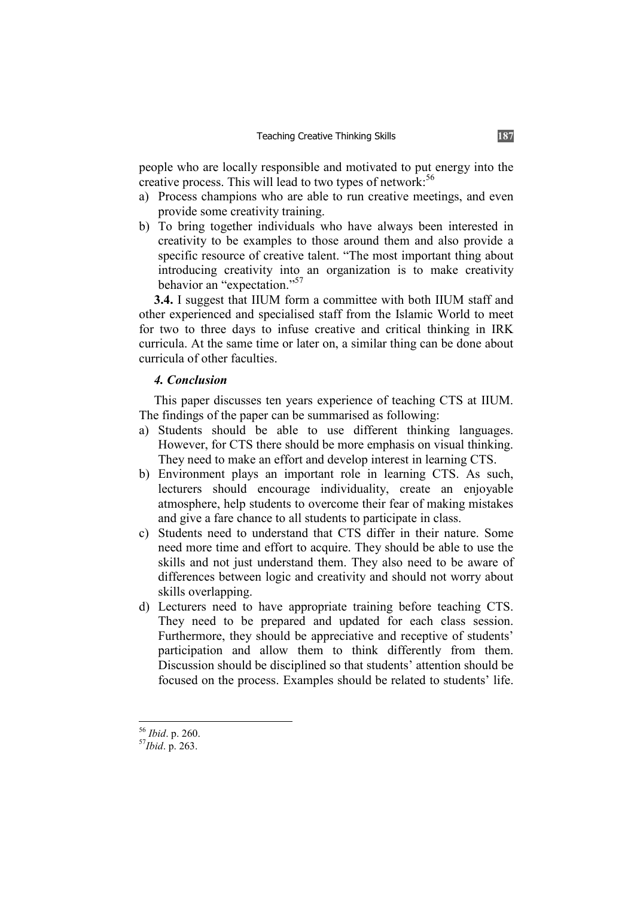people who are locally responsible and motivated to put energy into the creative process. This will lead to two types of network:<sup>56</sup>

- a) Process champions who are able to run creative meetings, and even provide some creativity training.
- b) To bring together individuals who have always been interested in creativity to be examples to those around them and also provide a specific resource of creative talent. "The most important thing about introducing creativity into an organization is to make creativity behavior an "expectation."<sup>57</sup>

**3.4.** I suggest that IIUM form a committee with both IIUM staff and other experienced and specialised staff from the Islamic World to meet for two to three days to infuse creative and critical thinking in IRK curricula. At the same time or later on, a similar thing can be done about curricula of other faculties.

## *4. Conclusion*

This paper discusses ten years experience of teaching CTS at IIUM. The findings of the paper can be summarised as following:

- a) Students should be able to use different thinking languages. However, for CTS there should be more emphasis on visual thinking. They need to make an effort and develop interest in learning CTS.
- b) Environment plays an important role in learning CTS. As such, lecturers should encourage individuality, create an enjoyable atmosphere, help students to overcome their fear of making mistakes and give a fare chance to all students to participate in class.
- c) Students need to understand that CTS differ in their nature. Some need more time and effort to acquire. They should be able to use the skills and not just understand them. They also need to be aware of differences between logic and creativity and should not worry about skills overlapping.
- d) Lecturers need to have appropriate training before teaching CTS. They need to be prepared and updated for each class session. Furthermore, they should be appreciative and receptive of students' participation and allow them to think differently from them. Discussion should be disciplined so that students' attention should be focused on the process. Examples should be related to students' life.

<sup>56</sup> *Ibid*. p. 260. 57*Ibid*. p. 263.